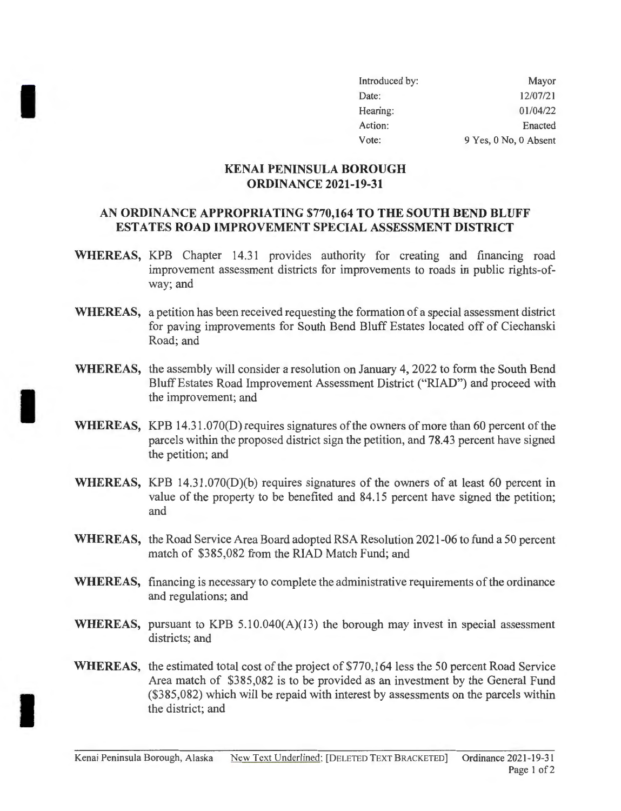| Introduced by: | Mayor                 |
|----------------|-----------------------|
| Date:          | 12/07/21              |
| Hearing:       | 01/04/22              |
| Action:        | Enacted               |
| Vote:          | 9 Yes, 0 No, 0 Absent |

## **KENAI PENINSULA BOROUGH ORDINANCE 2021-19-31**

I

I

I

## **AN ORDINANCE APPROPRIATING \$770,164 TO THE SOUTH BEND BLUFF EST ATES ROAD IMPROVEMENT SPECIAL ASSESSMENT DISTRICT**

- **WHEREAS,** KPB Chapter 14.31 provides authority for creating and financing road improvement assessment districts for improvements to roads in public rights-ofway; and
- **WHEREAS,** a petition has been received requesting the formation of a special assessment district for paving improvements for South Bend Bluff Estates located off of Ciechanski Road; and
- **WHEREAS,** the assembly will consider a resolution on January 4, 2022 to form the South Bend Bluff Estates Road Improvement Assessment District ("RIAD") and proceed with the improvement; and
- **WHEREAS,** KPB 14.31.070(D) requires signatures of the owners of more than 60 percent of the parcels within the proposed district sign the petition, and 78.43 percent have signed the petition; and
- **WHEREAS,** KPB 14.31 .070(D)(b) requires signatures of the owners of at least 60 percent in value of the property to be benefited and 84.15 percent have signed the petition; and
- **WHEREAS,** the Road Service Area Board adopted RSA Resolution 2021-06 to fund a 50 percent match of \$385,082 from the RIAD Match Fund; and
- **WHEREAS,** financing is necessary to complete the administrative requirements of the ordinance and regulations; and
- **WHEREAS,** pursuant to KPB 5.10.040(A)(13) the borough may invest in special assessment districts; and
- **WHEREAS,** the estimated total cost of the project of \$770,164 less the 50 percent Road Service Area match of \$385,082 is to be provided as an investment by the General Fund (\$385,082) which will be repaid with interest by assessments on the parcels within the district; and